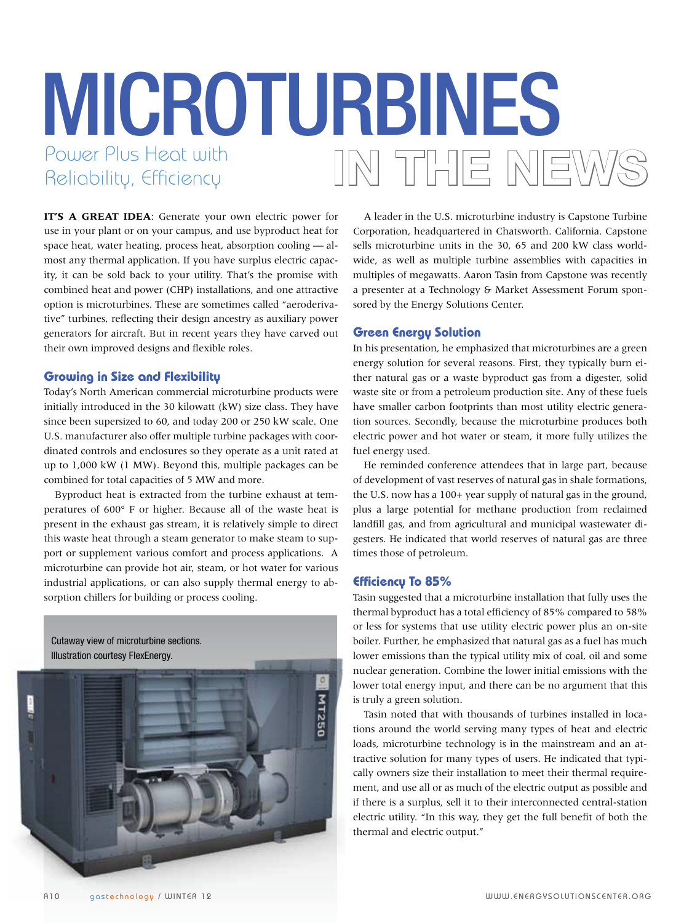# Microturbines Power Plus Heat with Power Pius Heat with<br>Reliability, Efficiency<br>Reliability, Efficiency

**IT'S A GREAT IDEA**: Generate your own electric power for use in your plant or on your campus, and use byproduct heat for space heat, water heating, process heat, absorption cooling — almost any thermal application. If you have surplus electric capacity, it can be sold back to your utility. That's the promise with combined heat and power (CHP) installations, and one attractive option is microturbines. These are sometimes called "aeroderivative" turbines, reflecting their design ancestry as auxiliary power generators for aircraft. But in recent years they have carved out their own improved designs and flexible roles.

## **Growing in Size and Flexibility**

Today's North American commercial microturbine products were initially introduced in the 30 kilowatt (kW) size class. They have since been supersized to 60, and today 200 or 250 kW scale. One U.S. manufacturer also offer multiple turbine packages with coordinated controls and enclosures so they operate as a unit rated at up to 1,000 kW (1 MW). Beyond this, multiple packages can be combined for total capacities of 5 MW and more.

Byproduct heat is extracted from the turbine exhaust at temperatures of 600° F or higher. Because all of the waste heat is present in the exhaust gas stream, it is relatively simple to direct this waste heat through a steam generator to make steam to support or supplement various comfort and process applications. A microturbine can provide hot air, steam, or hot water for various industrial applications, or can also supply thermal energy to absorption chillers for building or process cooling.

Cutaway view of microturbine sections. Illustration courtesy FlexEnergy.



A leader in the U.S. microturbine industry is Capstone Turbine Corporation, headquartered in Chatsworth. California. Capstone sells microturbine units in the 30, 65 and 200 kW class worldwide, as well as multiple turbine assemblies with capacities in multiples of megawatts. Aaron Tasin from Capstone was recently a presenter at a Technology & Market Assessment Forum sponsored by the Energy Solutions Center.

## **Green Energy Solution**

In his presentation, he emphasized that microturbines are a green energy solution for several reasons. First, they typically burn either natural gas or a waste byproduct gas from a digester, solid waste site or from a petroleum production site. Any of these fuels have smaller carbon footprints than most utility electric generation sources. Secondly, because the microturbine produces both electric power and hot water or steam, it more fully utilizes the fuel energy used.

He reminded conference attendees that in large part, because of development of vast reserves of natural gas in shale formations, the U.S. now has a 100+ year supply of natural gas in the ground, plus a large potential for methane production from reclaimed landfill gas, and from agricultural and municipal wastewater digesters. He indicated that world reserves of natural gas are three times those of petroleum.

#### **Efficiency To 85%**

Tasin suggested that a microturbine installation that fully uses the thermal byproduct has a total efficiency of 85% compared to 58% or less for systems that use utility electric power plus an on-site boiler. Further, he emphasized that natural gas as a fuel has much lower emissions than the typical utility mix of coal, oil and some nuclear generation. Combine the lower initial emissions with the lower total energy input, and there can be no argument that this is truly a green solution.

Tasin noted that with thousands of turbines installed in locations around the world serving many types of heat and electric loads, microturbine technology is in the mainstream and an attractive solution for many types of users. He indicated that typically owners size their installation to meet their thermal requirement, and use all or as much of the electric output as possible and if there is a surplus, sell it to their interconnected central-station electric utility. "In this way, they get the full benefit of both the thermal and electric output."